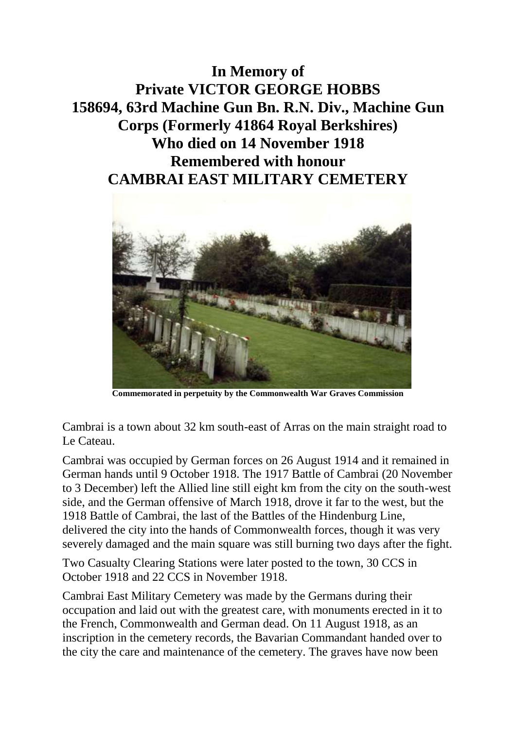**In Memory of Private VICTOR GEORGE HOBBS 158694, 63rd Machine Gun Bn. R.N. Div., Machine Gun Corps (Formerly 41864 Royal Berkshires) Who died on 14 November 1918 Remembered with honour CAMBRAI EAST MILITARY CEMETERY**



**Commemorated in perpetuity by the Commonwealth War Graves Commission**

Cambrai is a town about 32 km south-east of Arras on the main straight road to Le Cateau.

Cambrai was occupied by German forces on 26 August 1914 and it remained in German hands until 9 October 1918. The 1917 Battle of Cambrai (20 November to 3 December) left the Allied line still eight km from the city on the south-west side, and the German offensive of March 1918, drove it far to the west, but the 1918 Battle of Cambrai, the last of the Battles of the Hindenburg Line, delivered the city into the hands of Commonwealth forces, though it was very severely damaged and the main square was still burning two days after the fight.

Two Casualty Clearing Stations were later posted to the town, 30 CCS in October 1918 and 22 CCS in November 1918.

Cambrai East Military Cemetery was made by the Germans during their occupation and laid out with the greatest care, with monuments erected in it to the French, Commonwealth and German dead. On 11 August 1918, as an inscription in the cemetery records, the Bavarian Commandant handed over to the city the care and maintenance of the cemetery. The graves have now been